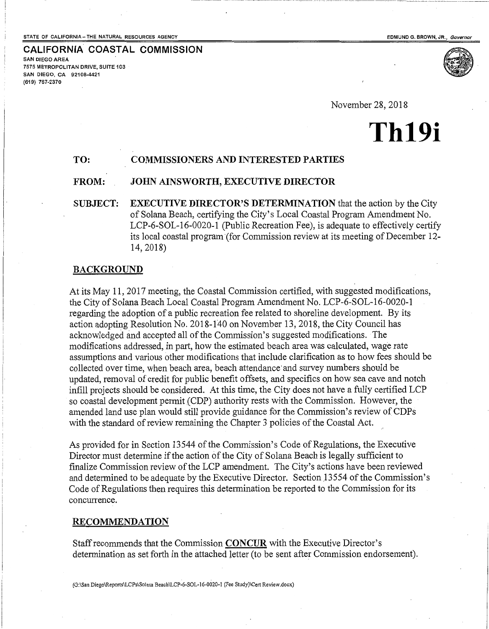**CALIFORNIA COASTAL COMMISSION** 

r--- 1

SAN DIEGO AREA

(619) 767-2370

7575 METROPOLITAN DRIVE, SUITE 103 SAN DIEGO, CA 92108-4421

November 28, 2018

# **Th19i**

## **TO: COMMISSIONERS AND INTERESTED PARTIES**

### **FROM: JOHN AINSWORTH, EXECUTIVE DIRECTOR**

**SUBJECT: EXECUTIVE DIRECTOR'S DETERMINATION** that the action by the City of Solana Beach, certifying the City's Local Coastal Program Amendment No. LCP-6-SOL-16-0020-1 (Public Recreation Fee), is adequate to effectively certify its local coastal program (for Commission review at its meeting of December 12-14, 2018)

#### **BACKGROUND**

At its May 11, 2017 meeting, the Coastal Commission certified, with suggested modifications, the City of Solana Beach Local Coastal Program Amendment No. LCP-6-SOL-16-0020-1 regarding the adoption of a public recreation fee related to shoreline development. By its action adopting Resolution No. 2018-140 on November 13,2018, the City Council has acknowledged and accepted all of the Commission's suggested modifications. The modifications addressed, in part, how the estimated beach area was calculated, wage rate assumptions and various other modifications that include clarification as to how fees should be collected over time, when beach area, beach attendance· and survey numbers should be updated, removal of credit for public benefit offsets, and specifics on how sea cave and notch infill projects should be considered. At this time, the City does not have a fully certified LCP so coastal development permit {CDP) authority rests with the Commission. However, the amended land use plan would still provide guidance for the Commission's review of CDPs with the standard of review remaining the Chapter 3 policies of the Coastal Act.

As provided for in Section 13544 of the Commission's Code of Regulations, the Executive Director must determine if the action of the City of Solana Beach is legally sufficient to finalize Commission review of the LCP amendment. The City's actions have been reviewed and determined to be adequate by the Executive Director. Section 13554 of the Commission's Code of Regulations then requires this determination be reported to the Commission for its concurrence.

#### **RECOMMENDATION**

Staff recommends that the Commission **CONCUR** with the Executive Director's determination as set forth in the attached letter (to be sent after Commission endorsement).